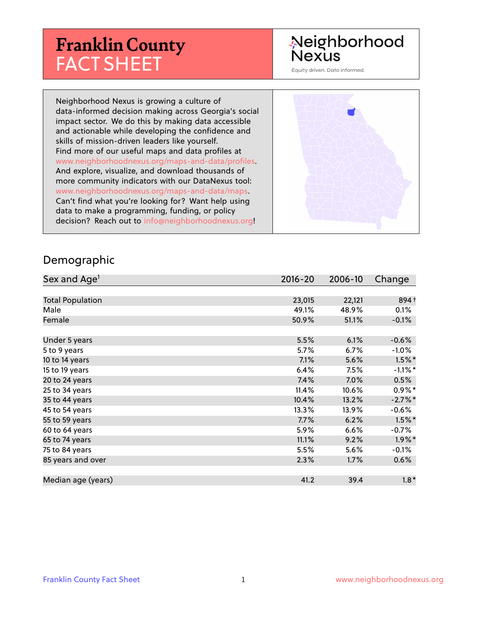# **Franklin County** FACT SHEET

# Neighborhood **Nexus**

Equity driven. Data informed.

Neighborhood Nexus is growing a culture of data-informed decision making across Georgia's social impact sector. We do this by making data accessible and actionable while developing the confidence and skills of mission-driven leaders like yourself. Find more of our useful maps and data profiles at www.neighborhoodnexus.org/maps-and-data/profiles. And explore, visualize, and download thousands of more community indicators with our DataNexus tool: www.neighborhoodnexus.org/maps-and-data/maps. Can't find what you're looking for? Want help using data to make a programming, funding, or policy decision? Reach out to [info@neighborhoodnexus.org!](mailto:info@neighborhoodnexus.org)



#### Demographic

| Sex and Age <sup>1</sup> | $2016 - 20$ | 2006-10 | Change     |
|--------------------------|-------------|---------|------------|
|                          |             |         |            |
| <b>Total Population</b>  | 23,015      | 22,121  | 894 +      |
| Male                     | 49.1%       | 48.9%   | 0.1%       |
| Female                   | 50.9%       | 51.1%   | $-0.1\%$   |
|                          |             |         |            |
| Under 5 years            | 5.5%        | 6.1%    | $-0.6%$    |
| 5 to 9 years             | 5.7%        | 6.7%    | $-1.0\%$   |
| 10 to 14 years           | 7.1%        | 5.6%    | $1.5\%$ *  |
| 15 to 19 years           | 6.4%        | 7.5%    | $-1.1\%$ * |
| 20 to 24 years           | 7.4%        | 7.0%    | 0.5%       |
| 25 to 34 years           | 11.4%       | 10.6%   | $0.9\%$ *  |
| 35 to 44 years           | 10.4%       | 13.2%   | $-2.7%$ *  |
| 45 to 54 years           | 13.3%       | 13.9%   | $-0.6%$    |
| 55 to 59 years           | 7.7%        | 6.2%    | $1.5\%$ *  |
| 60 to 64 years           | 5.9%        | 6.6%    | $-0.7%$    |
| 65 to 74 years           | 11.1%       | 9.2%    | $1.9\%$ *  |
| 75 to 84 years           | 5.5%        | 5.6%    | $-0.1\%$   |
| 85 years and over        | 2.3%        | 1.7%    | 0.6%       |
|                          |             |         |            |
| Median age (years)       | 41.2        | 39.4    | $1.8*$     |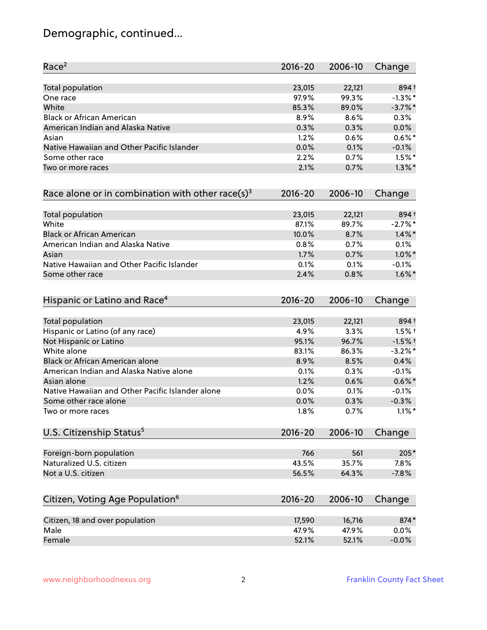# Demographic, continued...

| Race <sup>2</sup>                                   | $2016 - 20$ | 2006-10 | Change     |
|-----------------------------------------------------|-------------|---------|------------|
| <b>Total population</b>                             | 23,015      | 22,121  | 894+       |
| One race                                            | 97.9%       | 99.3%   | $-1.3\%$ * |
| White                                               | 85.3%       | 89.0%   | $-3.7%$ *  |
| <b>Black or African American</b>                    | 8.9%        | 8.6%    | 0.3%       |
| American Indian and Alaska Native                   | 0.3%        | 0.3%    | 0.0%       |
| Asian                                               | 1.2%        | 0.6%    | $0.6\%$ *  |
| Native Hawaiian and Other Pacific Islander          | 0.0%        | 0.1%    | $-0.1%$    |
| Some other race                                     | 2.2%        | 0.7%    | $1.5\%$ *  |
| Two or more races                                   | 2.1%        | 0.7%    | $1.3\%$ *  |
| Race alone or in combination with other race(s) $3$ | $2016 - 20$ | 2006-10 | Change     |
| Total population                                    | 23,015      | 22,121  | 894+       |
| White                                               | 87.1%       | 89.7%   | $-2.7%$ *  |
| <b>Black or African American</b>                    | 10.0%       | 8.7%    | $1.4\%$ *  |
| American Indian and Alaska Native                   | 0.8%        | 0.7%    | 0.1%       |
| Asian                                               | 1.7%        | 0.7%    | $1.0\%$ *  |
| Native Hawaiian and Other Pacific Islander          | 0.1%        | 0.1%    | $-0.1%$    |
| Some other race                                     | 2.4%        | 0.8%    | $1.6\%$ *  |
| Hispanic or Latino and Race <sup>4</sup>            | $2016 - 20$ | 2006-10 | Change     |
| <b>Total population</b>                             | 23,015      | 22,121  | 894 +      |
| Hispanic or Latino (of any race)                    | 4.9%        | 3.3%    | $1.5%$ †   |
| Not Hispanic or Latino                              | 95.1%       | 96.7%   | $-1.5%$ †  |
| White alone                                         | 83.1%       | 86.3%   | $-3.2\%$ * |
| Black or African American alone                     | 8.9%        | 8.5%    | 0.4%       |
| American Indian and Alaska Native alone             | 0.1%        | 0.3%    | $-0.1%$    |
| Asian alone                                         | 1.2%        | 0.6%    | $0.6\%$ *  |
| Native Hawaiian and Other Pacific Islander alone    | 0.0%        | 0.1%    | $-0.1%$    |
| Some other race alone                               | 0.0%        | 0.3%    | $-0.3%$    |
| Two or more races                                   | 1.8%        | 0.7%    | $1.1\%$ *  |
| U.S. Citizenship Status <sup>5</sup>                | $2016 - 20$ | 2006-10 | Change     |
| Foreign-born population                             | 766         | 561     | 205*       |
| Naturalized U.S. citizen                            | 43.5%       | 35.7%   | 7.8%       |
| Not a U.S. citizen                                  | 56.5%       | 64.3%   | $-7.8%$    |
| Citizen, Voting Age Population <sup>6</sup>         | $2016 - 20$ | 2006-10 | Change     |
| Citizen, 18 and over population                     | 17,590      | 16,716  | 874*       |
| Male                                                | 47.9%       | 47.9%   | 0.0%       |
| Female                                              | 52.1%       | 52.1%   | $-0.0%$    |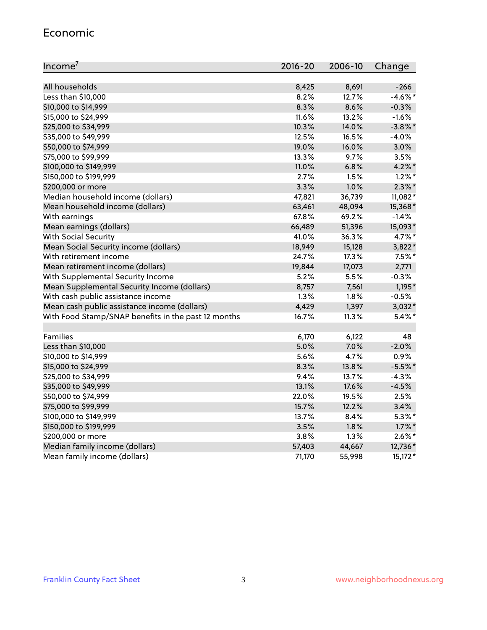#### Economic

| Income <sup>7</sup>                                 | $2016 - 20$ | 2006-10 | Change     |
|-----------------------------------------------------|-------------|---------|------------|
|                                                     |             |         |            |
| All households                                      | 8,425       | 8,691   | $-266$     |
| Less than \$10,000                                  | $8.2\%$     | 12.7%   | $-4.6\%$ * |
| \$10,000 to \$14,999                                | 8.3%        | 8.6%    | $-0.3%$    |
| \$15,000 to \$24,999                                | 11.6%       | 13.2%   | $-1.6%$    |
| \$25,000 to \$34,999                                | 10.3%       | 14.0%   | $-3.8\%$ * |
| \$35,000 to \$49,999                                | 12.5%       | 16.5%   | $-4.0%$    |
| \$50,000 to \$74,999                                | 19.0%       | 16.0%   | 3.0%       |
| \$75,000 to \$99,999                                | 13.3%       | 9.7%    | 3.5%       |
| \$100,000 to \$149,999                              | 11.0%       | 6.8%    | $4.2\%$ *  |
| \$150,000 to \$199,999                              | 2.7%        | 1.5%    | $1.2\%$ *  |
| \$200,000 or more                                   | 3.3%        | 1.0%    | $2.3\%$ *  |
| Median household income (dollars)                   | 47,821      | 36,739  | 11,082*    |
| Mean household income (dollars)                     | 63,461      | 48,094  | 15,368*    |
| With earnings                                       | 67.8%       | 69.2%   | $-1.4%$    |
| Mean earnings (dollars)                             | 66,489      | 51,396  | 15,093*    |
| <b>With Social Security</b>                         | 41.0%       | 36.3%   | 4.7%*      |
| Mean Social Security income (dollars)               | 18,949      | 15,128  | $3,822*$   |
| With retirement income                              | 24.7%       | 17.3%   | $7.5%$ *   |
| Mean retirement income (dollars)                    | 19,844      | 17,073  | 2,771      |
| With Supplemental Security Income                   | $5.2\%$     | 5.5%    | $-0.3%$    |
| Mean Supplemental Security Income (dollars)         | 8,757       | 7,561   | $1,195*$   |
| With cash public assistance income                  | 1.3%        | 1.8%    | $-0.5%$    |
| Mean cash public assistance income (dollars)        | 4,429       | 1,397   | $3,032*$   |
| With Food Stamp/SNAP benefits in the past 12 months | 16.7%       | 11.3%   | $5.4\%$ *  |
|                                                     |             |         |            |
| Families                                            | 6,170       | 6,122   | 48         |
| Less than \$10,000                                  | 5.0%        | 7.0%    | $-2.0%$    |
| \$10,000 to \$14,999                                | 5.6%        | 4.7%    | 0.9%       |
| \$15,000 to \$24,999                                | 8.3%        | 13.8%   | $-5.5%$ *  |
| \$25,000 to \$34,999                                | 9.4%        | 13.7%   | $-4.3%$    |
| \$35,000 to \$49,999                                | 13.1%       | 17.6%   | $-4.5%$    |
| \$50,000 to \$74,999                                | 22.0%       | 19.5%   | 2.5%       |
| \$75,000 to \$99,999                                | 15.7%       | 12.2%   | 3.4%       |
| \$100,000 to \$149,999                              | 13.7%       | 8.4%    | $5.3\%$ *  |
| \$150,000 to \$199,999                              | 3.5%        | 1.8%    | $1.7\%$ *  |
| \$200,000 or more                                   | 3.8%        | 1.3%    | $2.6\%$ *  |
| Median family income (dollars)                      | 57,403      | 44,667  | 12,736*    |
| Mean family income (dollars)                        | 71,170      | 55,998  | $15,172*$  |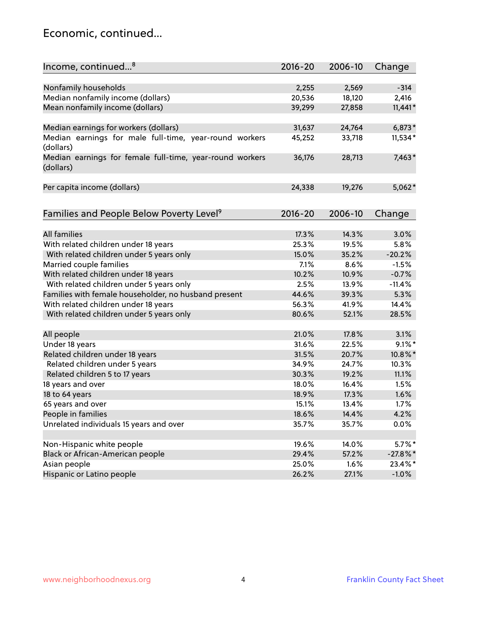#### Economic, continued...

| Income, continued <sup>8</sup>                                        | $2016 - 20$   | 2006-10       | Change              |
|-----------------------------------------------------------------------|---------------|---------------|---------------------|
|                                                                       |               |               |                     |
| Nonfamily households                                                  | 2,255         | 2,569         | $-314$              |
| Median nonfamily income (dollars)                                     | 20,536        | 18,120        | 2,416               |
| Mean nonfamily income (dollars)                                       | 39,299        | 27,858        | $11,441*$           |
|                                                                       |               |               |                     |
| Median earnings for workers (dollars)                                 | 31,637        | 24,764        | $6,873*$            |
| Median earnings for male full-time, year-round workers<br>(dollars)   | 45,252        | 33,718        | 11,534*             |
| Median earnings for female full-time, year-round workers<br>(dollars) | 36,176        | 28,713        | $7,463*$            |
| Per capita income (dollars)                                           | 24,338        | 19,276        | $5,062*$            |
|                                                                       |               |               |                     |
| Families and People Below Poverty Level <sup>9</sup>                  | $2016 - 20$   | 2006-10       | Change              |
| <b>All families</b>                                                   | 17.3%         | 14.3%         | 3.0%                |
| With related children under 18 years                                  | 25.3%         | 19.5%         | 5.8%                |
|                                                                       | 15.0%         | 35.2%         | $-20.2%$            |
| With related children under 5 years only                              |               |               | $-1.5%$             |
| Married couple families                                               | 7.1%<br>10.2% | 8.6%<br>10.9% |                     |
| With related children under 18 years                                  |               | 13.9%         | $-0.7%$<br>$-11.4%$ |
| With related children under 5 years only                              | 2.5%<br>44.6% | 39.3%         | 5.3%                |
| Families with female householder, no husband present                  |               |               |                     |
| With related children under 18 years                                  | 56.3%         | 41.9%         | 14.4%               |
| With related children under 5 years only                              | 80.6%         | 52.1%         | 28.5%               |
| All people                                                            | 21.0%         | 17.8%         | 3.1%                |
| Under 18 years                                                        | 31.6%         | 22.5%         | $9.1\%$ *           |
| Related children under 18 years                                       | 31.5%         | 20.7%         | 10.8%*              |
| Related children under 5 years                                        | 34.9%         | 24.7%         | 10.3%               |
| Related children 5 to 17 years                                        | 30.3%         | 19.2%         | 11.1%               |
| 18 years and over                                                     | 18.0%         | 16.4%         | 1.5%                |
| 18 to 64 years                                                        | 18.9%         | 17.3%         | 1.6%                |
| 65 years and over                                                     | 15.1%         | 13.4%         | 1.7%                |
| People in families                                                    | 18.6%         | 14.4%         | 4.2%                |
| Unrelated individuals 15 years and over                               | 35.7%         | 35.7%         | 0.0%                |
|                                                                       |               |               |                     |
| Non-Hispanic white people                                             | 19.6%         | 14.0%         | $5.7\%$ *           |
| Black or African-American people                                      | 29.4%         | 57.2%         | $-27.8\%$ *         |
| Asian people                                                          | 25.0%         | 1.6%          | 23.4%*              |
| Hispanic or Latino people                                             | 26.2%         | 27.1%         | $-1.0%$             |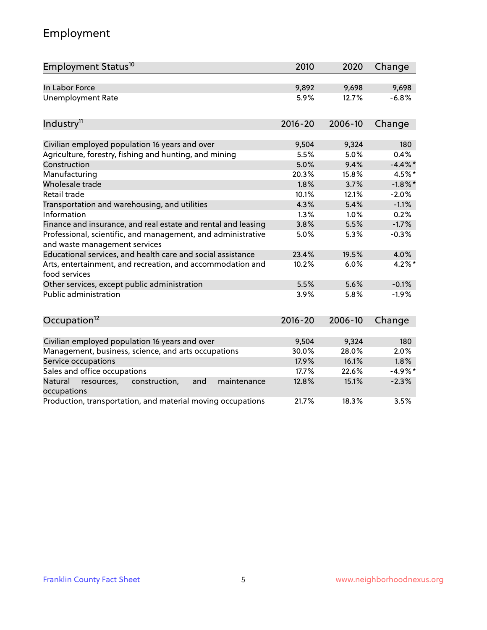# Employment

| Employment Status <sup>10</sup>                                                               | 2010        | 2020    | Change     |
|-----------------------------------------------------------------------------------------------|-------------|---------|------------|
| In Labor Force                                                                                | 9,892       | 9,698   | 9,698      |
| <b>Unemployment Rate</b>                                                                      | 5.9%        | 12.7%   | $-6.8%$    |
| Industry <sup>11</sup>                                                                        | $2016 - 20$ | 2006-10 | Change     |
|                                                                                               |             |         |            |
| Civilian employed population 16 years and over                                                | 9,504       | 9,324   | 180        |
| Agriculture, forestry, fishing and hunting, and mining                                        | 5.5%        | 5.0%    | 0.4%       |
| Construction                                                                                  | 5.0%        | 9.4%    | $-4.4\%$ * |
| Manufacturing                                                                                 | 20.3%       | 15.8%   | 4.5%*      |
| Wholesale trade                                                                               | 1.8%        | 3.7%    | $-1.8\%$ * |
| Retail trade                                                                                  | 10.1%       | 12.1%   | $-2.0%$    |
| Transportation and warehousing, and utilities                                                 | 4.3%        | 5.4%    | $-1.1%$    |
| Information                                                                                   | 1.3%        | 1.0%    | 0.2%       |
| Finance and insurance, and real estate and rental and leasing                                 | 3.8%        | 5.5%    | $-1.7%$    |
| Professional, scientific, and management, and administrative<br>and waste management services | 5.0%        | 5.3%    | $-0.3%$    |
| Educational services, and health care and social assistance                                   | 23.4%       | 19.5%   | 4.0%       |
| Arts, entertainment, and recreation, and accommodation and<br>food services                   | 10.2%       | 6.0%    | $4.2\%$ *  |
| Other services, except public administration                                                  | 5.5%        | 5.6%    | $-0.1%$    |
| <b>Public administration</b>                                                                  | 3.9%        | 5.8%    | $-1.9%$    |
| Occupation <sup>12</sup>                                                                      | $2016 - 20$ | 2006-10 | Change     |
|                                                                                               |             |         |            |
| Civilian employed population 16 years and over                                                | 9,504       | 9,324   | 180        |
| Management, business, science, and arts occupations                                           | 30.0%       | 28.0%   | 2.0%       |
| Service occupations                                                                           | 17.9%       | 16.1%   | 1.8%       |
| Sales and office occupations                                                                  | 17.7%       | 22.6%   | $-4.9%$ *  |
| Natural<br>resources,<br>construction,<br>and<br>maintenance<br>occupations                   | 12.8%       | 15.1%   | $-2.3%$    |
| Production, transportation, and material moving occupations                                   | 21.7%       | 18.3%   | 3.5%       |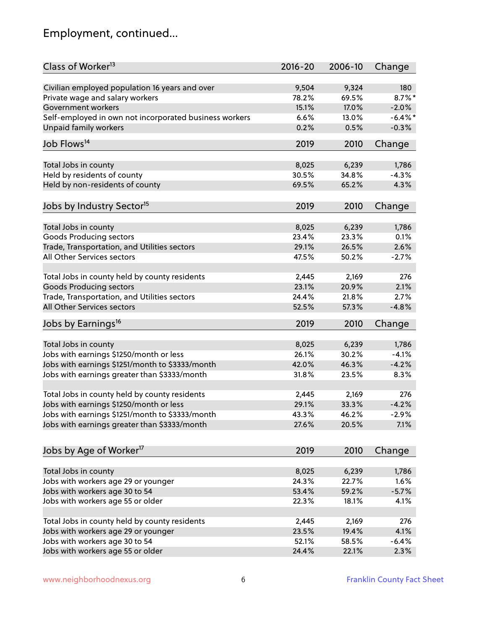# Employment, continued...

| Class of Worker <sup>13</sup>                          | $2016 - 20$    | 2006-10 | Change     |
|--------------------------------------------------------|----------------|---------|------------|
| Civilian employed population 16 years and over         | 9,504          | 9,324   | 180        |
| Private wage and salary workers                        | 78.2%          | 69.5%   | $8.7\%$ *  |
| Government workers                                     | 15.1%          | 17.0%   | $-2.0%$    |
| Self-employed in own not incorporated business workers | 6.6%           | 13.0%   | $-6.4\%$ * |
| <b>Unpaid family workers</b>                           | 0.2%           | 0.5%    | $-0.3%$    |
| Job Flows <sup>14</sup>                                | 2019           | 2010    | Change     |
|                                                        |                |         |            |
| Total Jobs in county                                   | 8,025          | 6,239   | 1,786      |
| Held by residents of county                            | 30.5%          | 34.8%   | $-4.3%$    |
| Held by non-residents of county                        | 69.5%          | 65.2%   | 4.3%       |
|                                                        | 2019           | 2010    |            |
| Jobs by Industry Sector <sup>15</sup>                  |                |         | Change     |
| Total Jobs in county                                   | 8,025          | 6,239   | 1,786      |
| Goods Producing sectors                                | 23.4%          | 23.3%   | 0.1%       |
| Trade, Transportation, and Utilities sectors           | 29.1%          | 26.5%   | 2.6%       |
| All Other Services sectors                             | 47.5%          | 50.2%   | $-2.7%$    |
|                                                        |                |         |            |
| Total Jobs in county held by county residents          | 2,445          | 2,169   | 276        |
| <b>Goods Producing sectors</b>                         | 23.1%          | 20.9%   | 2.1%       |
| Trade, Transportation, and Utilities sectors           | 24.4%          | 21.8%   | 2.7%       |
| All Other Services sectors                             | 52.5%          | 57.3%   | $-4.8%$    |
| Jobs by Earnings <sup>16</sup>                         | 2019           | 2010    | Change     |
|                                                        |                |         |            |
| Total Jobs in county                                   | 8,025          | 6,239   | 1,786      |
| Jobs with earnings \$1250/month or less                | 26.1%          | 30.2%   | $-4.1%$    |
| Jobs with earnings \$1251/month to \$3333/month        | 42.0%          | 46.3%   | $-4.2%$    |
| Jobs with earnings greater than \$3333/month           | 31.8%          | 23.5%   | 8.3%       |
| Total Jobs in county held by county residents          | 2,445          | 2,169   | 276        |
| Jobs with earnings \$1250/month or less                | 29.1%          | 33.3%   | $-4.2%$    |
| Jobs with earnings \$1251/month to \$3333/month        | 43.3%          | 46.2%   | -2.9%      |
| Jobs with earnings greater than \$3333/month           | 27.6%          | 20.5%   | 7.1%       |
|                                                        |                |         |            |
| Jobs by Age of Worker <sup>17</sup>                    | 2019           | 2010    | Change     |
|                                                        |                |         |            |
| Total Jobs in county                                   | 8,025<br>24.3% | 6,239   | 1,786      |
| Jobs with workers age 29 or younger                    |                | 22.7%   | 1.6%       |
| Jobs with workers age 30 to 54                         | 53.4%          | 59.2%   | $-5.7%$    |
| Jobs with workers age 55 or older                      | 22.3%          | 18.1%   | 4.1%       |
| Total Jobs in county held by county residents          | 2,445          | 2,169   | 276        |
| Jobs with workers age 29 or younger                    | 23.5%          | 19.4%   | 4.1%       |
| Jobs with workers age 30 to 54                         | 52.1%          | 58.5%   | $-6.4%$    |
| Jobs with workers age 55 or older                      | 24.4%          | 22.1%   | 2.3%       |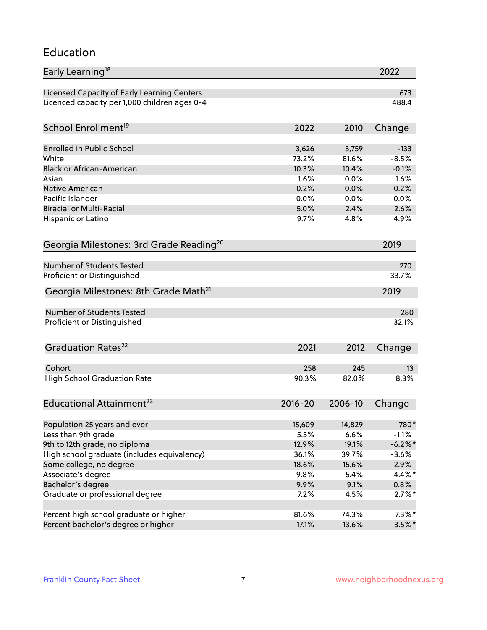#### Education

| Early Learning <sup>18</sup>                        |                |                | 2022            |
|-----------------------------------------------------|----------------|----------------|-----------------|
| Licensed Capacity of Early Learning Centers         |                |                | 673             |
| Licenced capacity per 1,000 children ages 0-4       |                |                | 488.4           |
| School Enrollment <sup>19</sup>                     | 2022           | 2010           | Change          |
|                                                     |                |                |                 |
| <b>Enrolled in Public School</b>                    | 3,626          | 3,759          | $-133$          |
| White                                               | 73.2%          | 81.6%          | $-8.5%$         |
| <b>Black or African-American</b>                    | 10.3%          | 10.4%          | $-0.1%$         |
| Asian                                               | 1.6%           | 0.0%           | 1.6%            |
| <b>Native American</b>                              | 0.2%           | 0.0%           | 0.2%            |
| Pacific Islander                                    | 0.0%           | 0.0%           | 0.0%            |
| <b>Biracial or Multi-Racial</b>                     | 5.0%           | 2.4%           | 2.6%            |
| Hispanic or Latino                                  | 9.7%           | 4.8%           | 4.9%            |
| Georgia Milestones: 3rd Grade Reading <sup>20</sup> |                |                | 2019            |
|                                                     |                |                |                 |
| Number of Students Tested                           |                |                | 270             |
| Proficient or Distinguished                         |                |                | 33.7%           |
| Georgia Milestones: 8th Grade Math <sup>21</sup>    |                |                | 2019            |
| <b>Number of Students Tested</b>                    |                |                | 280             |
| Proficient or Distinguished                         |                |                | 32.1%           |
|                                                     |                |                |                 |
| Graduation Rates <sup>22</sup>                      | 2021           | 2012           | Change          |
| Cohort                                              | 258            | 245            | 13              |
| <b>High School Graduation Rate</b>                  | 90.3%          | 82.0%          | 8.3%            |
|                                                     |                |                |                 |
| Educational Attainment <sup>23</sup>                | $2016 - 20$    | 2006-10        | Change          |
|                                                     | 15,609         | 14,829         | 780*            |
| Population 25 years and over<br>Less than 9th grade | 5.5%           | 6.6%           | $-1.1%$         |
| 9th to 12th grade, no diploma                       | 12.9%          | 19.1%          | $-6.2\%$ *      |
| High school graduate (includes equivalency)         |                |                |                 |
|                                                     | 36.1%<br>18.6% | 39.7%<br>15.6% | $-3.6%$<br>2.9% |
| Some college, no degree                             |                |                |                 |
| Associate's degree                                  | 9.8%           | 5.4%           | 4.4%*           |
| Bachelor's degree                                   | 9.9%           | 9.1%           | $0.8\%$         |
| Graduate or professional degree                     | 7.2%           | 4.5%           | $2.7\%$ *       |
| Percent high school graduate or higher              | 81.6%          | 74.3%          | $7.3\%$ *       |
| Percent bachelor's degree or higher                 | 17.1%          | 13.6%          | $3.5\%$ *       |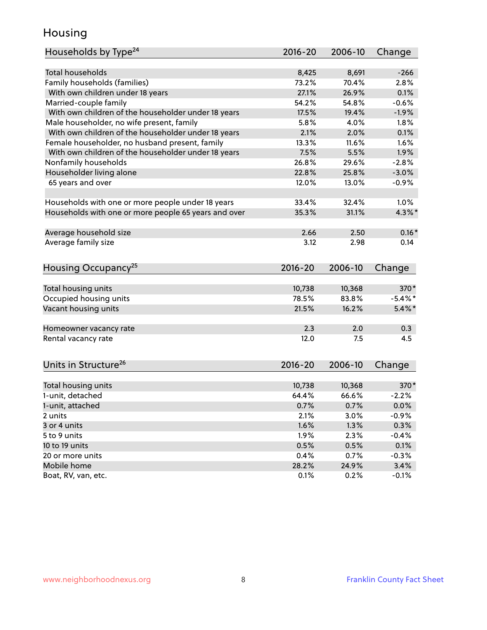#### Housing

| Households by Type <sup>24</sup>                     | 2016-20     | 2006-10 | Change     |
|------------------------------------------------------|-------------|---------|------------|
|                                                      |             |         |            |
| <b>Total households</b>                              | 8,425       | 8,691   | $-266$     |
| Family households (families)                         | 73.2%       | 70.4%   | 2.8%       |
| With own children under 18 years                     | 27.1%       | 26.9%   | 0.1%       |
| Married-couple family                                | 54.2%       | 54.8%   | $-0.6%$    |
| With own children of the householder under 18 years  | 17.5%       | 19.4%   | $-1.9%$    |
| Male householder, no wife present, family            | 5.8%        | 4.0%    | 1.8%       |
| With own children of the householder under 18 years  | 2.1%        | 2.0%    | 0.1%       |
| Female householder, no husband present, family       | 13.3%       | 11.6%   | 1.6%       |
| With own children of the householder under 18 years  | 7.5%        | 5.5%    | 1.9%       |
| Nonfamily households                                 | 26.8%       | 29.6%   | $-2.8%$    |
| Householder living alone                             | 22.8%       | 25.8%   | $-3.0%$    |
| 65 years and over                                    | 12.0%       | 13.0%   | $-0.9%$    |
| Households with one or more people under 18 years    | 33.4%       | 32.4%   | 1.0%       |
| Households with one or more people 65 years and over | 35.3%       | 31.1%   | $4.3\%$ *  |
|                                                      |             |         |            |
| Average household size                               | 2.66        | 2.50    | $0.16*$    |
| Average family size                                  | 3.12        | 2.98    | 0.14       |
| Housing Occupancy <sup>25</sup>                      | $2016 - 20$ | 2006-10 | Change     |
| Total housing units                                  | 10,738      | 10,368  | 370*       |
| Occupied housing units                               | 78.5%       | 83.8%   | $-5.4\%$ * |
| Vacant housing units                                 | 21.5%       | 16.2%   | $5.4\%$ *  |
|                                                      |             |         |            |
| Homeowner vacancy rate                               | 2.3         | 2.0     | 0.3        |
| Rental vacancy rate                                  | 12.0        | 7.5     | 4.5        |
| Units in Structure <sup>26</sup>                     | 2016-20     | 2006-10 | Change     |
| Total housing units                                  | 10,738      | 10,368  | $370*$     |
| 1-unit, detached                                     | 64.4%       | 66.6%   | $-2.2%$    |
| 1-unit, attached                                     | 0.7%        | 0.7%    | 0.0%       |
| 2 units                                              | 2.1%        | 3.0%    | $-0.9%$    |
| 3 or 4 units                                         | 1.6%        | 1.3%    | 0.3%       |
| 5 to 9 units                                         | 1.9%        | 2.3%    | $-0.4%$    |
| 10 to 19 units                                       | 0.5%        | 0.5%    | 0.1%       |
| 20 or more units                                     | 0.4%        | 0.7%    | $-0.3%$    |
| Mobile home                                          | 28.2%       | 24.9%   | 3.4%       |
| Boat, RV, van, etc.                                  | 0.1%        | 0.2%    | $-0.1%$    |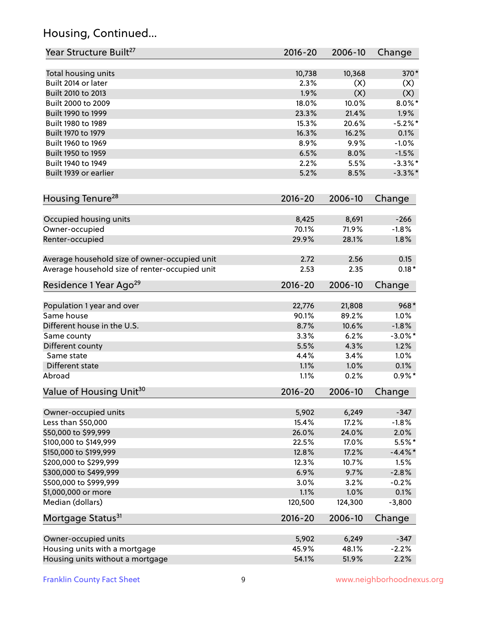# Housing, Continued...

| Year Structure Built <sup>27</sup>             | 2016-20 | 2006-10 | Change     |
|------------------------------------------------|---------|---------|------------|
| Total housing units                            | 10,738  | 10,368  | 370*       |
| Built 2014 or later                            | 2.3%    | (X)     | (X)        |
| Built 2010 to 2013                             | 1.9%    | (X)     | (X)        |
| Built 2000 to 2009                             | 18.0%   | 10.0%   | $8.0\%$ *  |
| Built 1990 to 1999                             | 23.3%   | 21.4%   | 1.9%       |
| Built 1980 to 1989                             | 15.3%   | 20.6%   | $-5.2%$    |
| Built 1970 to 1979                             | 16.3%   | 16.2%   | 0.1%       |
| Built 1960 to 1969                             | 8.9%    | 9.9%    | $-1.0%$    |
| Built 1950 to 1959                             | 6.5%    | 8.0%    | $-1.5%$    |
| Built 1940 to 1949                             | 2.2%    | 5.5%    | $-3.3\%$ * |
| Built 1939 or earlier                          | 5.2%    | 8.5%    | $-3.3\%$ * |
|                                                |         |         |            |
| Housing Tenure <sup>28</sup>                   | 2016-20 | 2006-10 | Change     |
| Occupied housing units                         | 8,425   | 8,691   | $-266$     |
| Owner-occupied                                 | 70.1%   | 71.9%   | $-1.8%$    |
| Renter-occupied                                | 29.9%   | 28.1%   | 1.8%       |
| Average household size of owner-occupied unit  | 2.72    | 2.56    | 0.15       |
| Average household size of renter-occupied unit | 2.53    | 2.35    | $0.18*$    |
| Residence 1 Year Ago <sup>29</sup>             | 2016-20 | 2006-10 | Change     |
|                                                |         |         |            |
| Population 1 year and over                     | 22,776  | 21,808  | $968*$     |
| Same house                                     | 90.1%   | 89.2%   | 1.0%       |
| Different house in the U.S.                    | 8.7%    | 10.6%   | $-1.8%$    |
| Same county                                    | 3.3%    | 6.2%    | $-3.0\%$ * |
| Different county                               | 5.5%    | 4.3%    | 1.2%       |
| Same state                                     | 4.4%    | 3.4%    | 1.0%       |
| Different state                                | 1.1%    | 1.0%    | 0.1%       |
| Abroad                                         | 1.1%    | 0.2%    | $0.9%$ *   |
| Value of Housing Unit <sup>30</sup>            | 2016-20 | 2006-10 | Change     |
| Owner-occupied units                           | 5,902   | 6,249   | $-347$     |
| Less than \$50,000                             | 15.4%   | 17.2%   | $-1.8%$    |
| \$50,000 to \$99,999                           | 26.0%   | 24.0%   | 2.0%       |
| \$100,000 to \$149,999                         | 22.5%   | 17.0%   | $5.5\%$ *  |
| \$150,000 to \$199,999                         | 12.8%   | 17.2%   | $-4.4\%$ * |
| \$200,000 to \$299,999                         | 12.3%   | 10.7%   | 1.5%       |
| \$300,000 to \$499,999                         | 6.9%    | 9.7%    | $-2.8%$    |
| \$500,000 to \$999,999                         | 3.0%    | 3.2%    | $-0.2%$    |
| \$1,000,000 or more                            | 1.1%    | 1.0%    | 0.1%       |
| Median (dollars)                               | 120,500 | 124,300 | $-3,800$   |
| Mortgage Status <sup>31</sup>                  | 2016-20 | 2006-10 | Change     |
| Owner-occupied units                           | 5,902   | 6,249   | $-347$     |
| Housing units with a mortgage                  | 45.9%   | 48.1%   | $-2.2%$    |
| Housing units without a mortgage               | 54.1%   | 51.9%   | 2.2%       |
|                                                |         |         |            |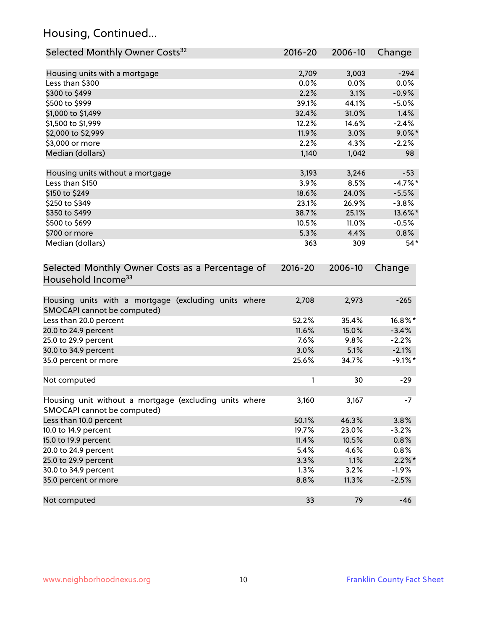# Housing, Continued...

| Selected Monthly Owner Costs <sup>32</sup>                                            | 2016-20 | 2006-10 | Change     |
|---------------------------------------------------------------------------------------|---------|---------|------------|
| Housing units with a mortgage                                                         | 2,709   | 3,003   | $-294$     |
| Less than \$300                                                                       | 0.0%    | 0.0%    | 0.0%       |
| \$300 to \$499                                                                        | 2.2%    | 3.1%    | $-0.9%$    |
| \$500 to \$999                                                                        | 39.1%   | 44.1%   | $-5.0%$    |
| \$1,000 to \$1,499                                                                    | 32.4%   | 31.0%   | 1.4%       |
| \$1,500 to \$1,999                                                                    | 12.2%   | 14.6%   | $-2.4%$    |
| \$2,000 to \$2,999                                                                    | 11.9%   | 3.0%    | $9.0\%$ *  |
| \$3,000 or more                                                                       | 2.2%    | 4.3%    | $-2.2%$    |
| Median (dollars)                                                                      | 1,140   | 1,042   | 98         |
|                                                                                       |         |         |            |
| Housing units without a mortgage                                                      | 3,193   | 3,246   | $-53$      |
| Less than \$150                                                                       | 3.9%    | 8.5%    | $-4.7%$ *  |
| \$150 to \$249                                                                        | 18.6%   | 24.0%   | $-5.5%$    |
| \$250 to \$349                                                                        | 23.1%   | 26.9%   | $-3.8%$    |
| \$350 to \$499                                                                        | 38.7%   | 25.1%   | 13.6%*     |
| \$500 to \$699                                                                        | 10.5%   | 11.0%   | $-0.5%$    |
| \$700 or more                                                                         | 5.3%    | 4.4%    | 0.8%       |
| Median (dollars)                                                                      | 363     | 309     | $54*$      |
| Selected Monthly Owner Costs as a Percentage of<br>Household Income <sup>33</sup>     |         |         | Change     |
| Housing units with a mortgage (excluding units where<br>SMOCAPI cannot be computed)   | 2,708   | 2,973   | $-265$     |
| Less than 20.0 percent                                                                | 52.2%   | 35.4%   | 16.8%*     |
| 20.0 to 24.9 percent                                                                  | 11.6%   | 15.0%   | $-3.4%$    |
| 25.0 to 29.9 percent                                                                  | 7.6%    | 9.8%    | $-2.2%$    |
| 30.0 to 34.9 percent                                                                  | 3.0%    | 5.1%    | $-2.1%$    |
| 35.0 percent or more                                                                  | 25.6%   | 34.7%   | $-9.1\%$ * |
| Not computed                                                                          | 1       | 30      | $-29$      |
| Housing unit without a mortgage (excluding units where<br>SMOCAPI cannot be computed) | 3,160   | 3,167   | $-7$       |
| Less than 10.0 percent                                                                | 50.1%   | 46.3%   | 3.8%       |
| 10.0 to 14.9 percent                                                                  | 19.7%   | 23.0%   | $-3.2%$    |
| 15.0 to 19.9 percent                                                                  | 11.4%   | 10.5%   | 0.8%       |
| 20.0 to 24.9 percent                                                                  | 5.4%    | 4.6%    | 0.8%       |
| 25.0 to 29.9 percent                                                                  | 3.3%    | 1.1%    | $2.2\%$ *  |
| 30.0 to 34.9 percent                                                                  | 1.3%    | 3.2%    | $-1.9%$    |
| 35.0 percent or more                                                                  | 8.8%    | 11.3%   | $-2.5%$    |
| Not computed                                                                          | 33      | 79      | $-46$      |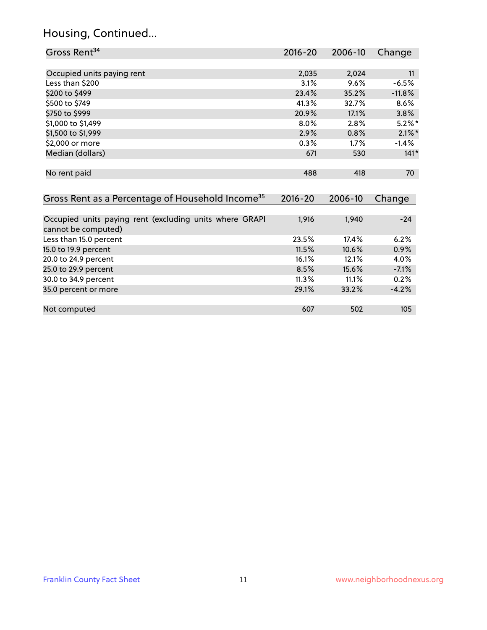#### Housing, Continued...

20.0 to 24.9 percent

35.0 percent or more

| Gross Rent <sup>34</sup>                                     | 2016-20     | 2006-10 | Change    |
|--------------------------------------------------------------|-------------|---------|-----------|
|                                                              |             |         |           |
| Occupied units paying rent                                   | 2,035       | 2,024   | 11        |
| Less than \$200                                              | 3.1%        | 9.6%    | $-6.5%$   |
| \$200 to \$499                                               | 23.4%       | 35.2%   | $-11.8%$  |
| \$500 to \$749                                               | 41.3%       | 32.7%   | 8.6%      |
| \$750 to \$999                                               | 20.9%       | 17.1%   | 3.8%      |
| \$1,000 to \$1,499                                           | $8.0\%$     | 2.8%    | $5.2\%$ * |
| \$1,500 to \$1,999                                           | 2.9%        | 0.8%    | $2.1\%$ * |
| \$2,000 or more                                              | $0.3\%$     | 1.7%    | $-1.4\%$  |
| Median (dollars)                                             | 671         | 530     | $141*$    |
|                                                              |             |         |           |
| No rent paid                                                 | 488         | 418     | 70        |
|                                                              |             |         |           |
| Gross Rent as a Percentage of Household Income <sup>35</sup> | $2016 - 20$ | 2006-10 | Change    |
|                                                              |             |         |           |
| Occupied units paying rent (excluding units where GRAPI      | 1,916       | 1,940   | $-24$     |
| cannot be computed)                                          |             |         |           |
| Less than 15.0 percent                                       | 23.5%       | 17.4%   | 6.2%      |
| 15.0 to 19.9 percent                                         | 11.5%       | 10.6%   | 0.9%      |

15.0 to 19.9 percent 11.5% 10.6% 0.9%<br>16.1% 10.6% 10.6% 10.9% 10.6% 10.9% 10.0% 10.9%

25.0 to 29.9 percent 200 and 200 and 200 and 200 and 200 and 200 and 200 and 200 and 200 and 200 and 200 and 2 30.0 to 34.9 percent 11.3% 11.1% 0.2%

Not computed and the computed computed computed by  $607$  502 105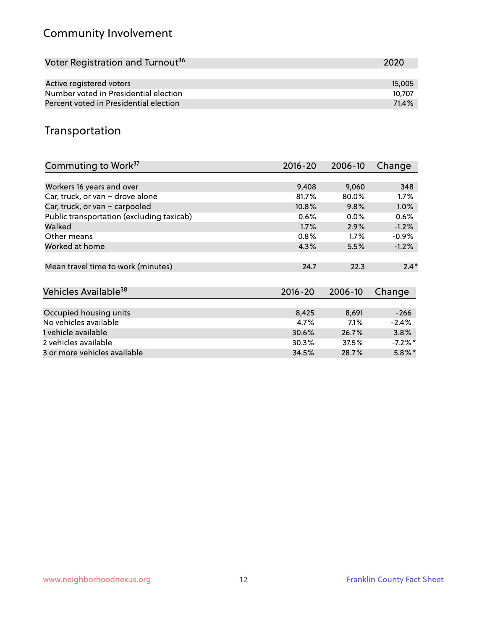# Community Involvement

| Voter Registration and Turnout <sup>36</sup> | 2020   |
|----------------------------------------------|--------|
|                                              |        |
| Active registered voters                     | 15,005 |
| Number voted in Presidential election        | 10.707 |
| Percent voted in Presidential election       | 71.4%  |

#### Transportation

| Commuting to Work <sup>37</sup>           | 2016-20     | 2006-10 | Change     |
|-------------------------------------------|-------------|---------|------------|
|                                           |             |         |            |
| Workers 16 years and over                 | 9,408       | 9,060   | 348        |
| Car, truck, or van - drove alone          | 81.7%       | 80.0%   | $1.7\%$    |
| Car, truck, or van - carpooled            | 10.8%       | 9.8%    | 1.0%       |
| Public transportation (excluding taxicab) | 0.6%        | $0.0\%$ | 0.6%       |
| Walked                                    | 1.7%        | 2.9%    | $-1.2%$    |
| Other means                               | 0.8%        | $1.7\%$ | $-0.9\%$   |
| Worked at home                            | 4.3%        | 5.5%    | $-1.2%$    |
| Mean travel time to work (minutes)        | 24.7        | 22.3    | $2.4*$     |
| Vehicles Available <sup>38</sup>          | $2016 - 20$ | 2006-10 | Change     |
| Occupied housing units                    | 8,425       | 8,691   | $-266$     |
| No vehicles available                     | 4.7%        | 7.1%    | $-2.4%$    |
| 1 vehicle available                       | 30.6%       | 26.7%   | 3.8%       |
| 2 vehicles available                      | 30.3%       | 37.5%   | $-7.2\%$ * |
| 3 or more vehicles available              | 34.5%       | 28.7%   | $5.8\%$ *  |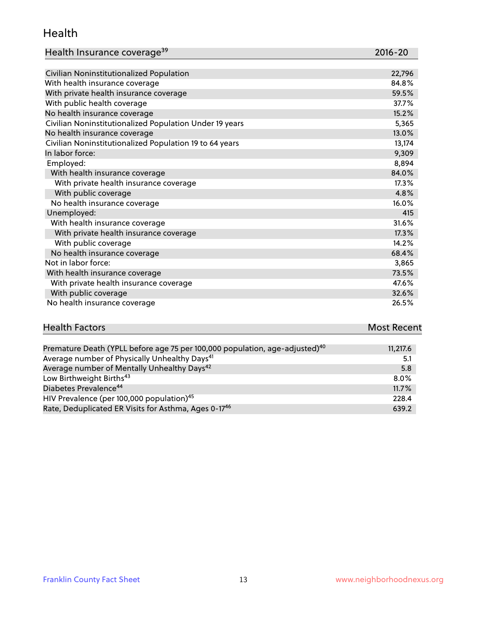#### Health

| Health Insurance coverage <sup>39</sup> | 2016-20 |
|-----------------------------------------|---------|
|-----------------------------------------|---------|

| Civilian Noninstitutionalized Population                | 22,796 |
|---------------------------------------------------------|--------|
| With health insurance coverage                          | 84.8%  |
| With private health insurance coverage                  | 59.5%  |
| With public health coverage                             | 37.7%  |
| No health insurance coverage                            | 15.2%  |
| Civilian Noninstitutionalized Population Under 19 years | 5,365  |
| No health insurance coverage                            | 13.0%  |
| Civilian Noninstitutionalized Population 19 to 64 years | 13,174 |
| In labor force:                                         | 9,309  |
| Employed:                                               | 8,894  |
| With health insurance coverage                          | 84.0%  |
| With private health insurance coverage                  | 17.3%  |
| With public coverage                                    | 4.8%   |
| No health insurance coverage                            | 16.0%  |
| Unemployed:                                             | 415    |
| With health insurance coverage                          | 31.6%  |
| With private health insurance coverage                  | 17.3%  |
| With public coverage                                    | 14.2%  |
| No health insurance coverage                            | 68.4%  |
| Not in labor force:                                     | 3,865  |
| With health insurance coverage                          | 73.5%  |
| With private health insurance coverage                  | 47.6%  |
| With public coverage                                    | 32.6%  |
| No health insurance coverage                            | 26.5%  |

#### **Health Factors Most Recent** Premature Death (YPLL before age 75 per 100,000 population, age-adjusted) $^{40}$  11,217.6

| Premature Death (YPLL before age 75 per 100,000 population, age-adjusted). | II, ZI/0 |
|----------------------------------------------------------------------------|----------|
| Average number of Physically Unhealthy Days <sup>41</sup>                  | 5.1      |
| Average number of Mentally Unhealthy Days <sup>42</sup>                    | 5.8      |
| Low Birthweight Births <sup>43</sup>                                       | $8.0\%$  |
| Diabetes Prevalence <sup>44</sup>                                          | 11.7%    |
| HIV Prevalence (per 100,000 population) <sup>45</sup>                      | 228.4    |
| Rate, Deduplicated ER Visits for Asthma, Ages 0-17 <sup>46</sup>           | 639.2    |